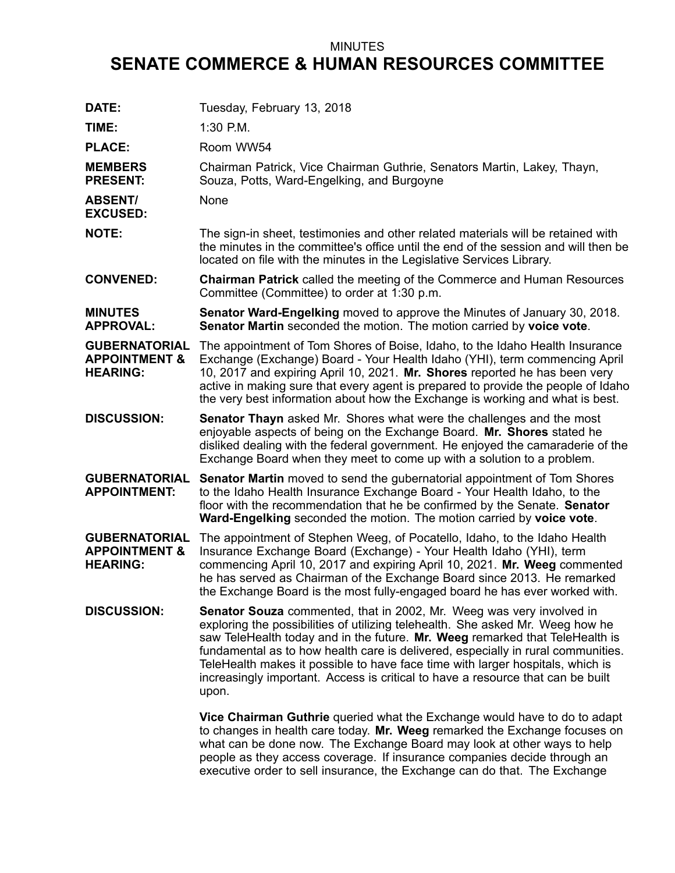## MINUTES

## **SENATE COMMERCE & HUMAN RESOURCES COMMITTEE**

| DATE:                                                               | Tuesday, February 13, 2018                                                                                                                                                                                                                                                                                                                                                                                                                                                                                      |
|---------------------------------------------------------------------|-----------------------------------------------------------------------------------------------------------------------------------------------------------------------------------------------------------------------------------------------------------------------------------------------------------------------------------------------------------------------------------------------------------------------------------------------------------------------------------------------------------------|
| TIME:                                                               | 1:30 P.M.                                                                                                                                                                                                                                                                                                                                                                                                                                                                                                       |
| <b>PLACE:</b>                                                       | Room WW54                                                                                                                                                                                                                                                                                                                                                                                                                                                                                                       |
| <b>MEMBERS</b><br><b>PRESENT:</b>                                   | Chairman Patrick, Vice Chairman Guthrie, Senators Martin, Lakey, Thayn,<br>Souza, Potts, Ward-Engelking, and Burgoyne                                                                                                                                                                                                                                                                                                                                                                                           |
| <b>ABSENT/</b><br><b>EXCUSED:</b>                                   | None                                                                                                                                                                                                                                                                                                                                                                                                                                                                                                            |
| <b>NOTE:</b>                                                        | The sign-in sheet, testimonies and other related materials will be retained with<br>the minutes in the committee's office until the end of the session and will then be<br>located on file with the minutes in the Legislative Services Library.                                                                                                                                                                                                                                                                |
| <b>CONVENED:</b>                                                    | <b>Chairman Patrick</b> called the meeting of the Commerce and Human Resources<br>Committee (Committee) to order at 1:30 p.m.                                                                                                                                                                                                                                                                                                                                                                                   |
| <b>MINUTES</b><br><b>APPROVAL:</b>                                  | <b>Senator Ward-Engelking</b> moved to approve the Minutes of January 30, 2018.<br>Senator Martin seconded the motion. The motion carried by voice vote.                                                                                                                                                                                                                                                                                                                                                        |
| <b>GUBERNATORIAL</b><br><b>APPOINTMENT &amp;</b><br><b>HEARING:</b> | The appointment of Tom Shores of Boise, Idaho, to the Idaho Health Insurance<br>Exchange (Exchange) Board - Your Health Idaho (YHI), term commencing April<br>10, 2017 and expiring April 10, 2021. Mr. Shores reported he has been very<br>active in making sure that every agent is prepared to provide the people of Idaho<br>the very best information about how the Exchange is working and what is best.                                                                                                  |
| <b>DISCUSSION:</b>                                                  | <b>Senator Thayn</b> asked Mr. Shores what were the challenges and the most<br>enjoyable aspects of being on the Exchange Board. Mr. Shores stated he<br>disliked dealing with the federal government. He enjoyed the camaraderie of the<br>Exchange Board when they meet to come up with a solution to a problem.                                                                                                                                                                                              |
| <b>GUBERNATORIAL</b><br><b>APPOINTMENT:</b>                         | <b>Senator Martin</b> moved to send the gubernatorial appointment of Tom Shores<br>to the Idaho Health Insurance Exchange Board - Your Health Idaho, to the<br>floor with the recommendation that he be confirmed by the Senate. Senator<br>Ward-Engelking seconded the motion. The motion carried by voice vote.                                                                                                                                                                                               |
| <b>GUBERNATORIAL</b><br><b>APPOINTMENT &amp;</b><br><b>HEARING:</b> | The appointment of Stephen Weeg, of Pocatello, Idaho, to the Idaho Health<br>Insurance Exchange Board (Exchange) - Your Health Idaho (YHI), term<br>commencing April 10, 2017 and expiring April 10, 2021. Mr. Weeg commented<br>he has served as Chairman of the Exchange Board since 2013. He remarked<br>the Exchange Board is the most fully-engaged board he has ever worked with.                                                                                                                         |
| <b>DISCUSSION:</b>                                                  | <b>Senator Souza</b> commented, that in 2002, Mr. Weeg was very involved in<br>exploring the possibilities of utilizing telehealth. She asked Mr. Weeg how he<br>saw TeleHealth today and in the future. Mr. Weeg remarked that TeleHealth is<br>fundamental as to how health care is delivered, especially in rural communities.<br>TeleHealth makes it possible to have face time with larger hospitals, which is<br>increasingly important. Access is critical to have a resource that can be built<br>upon. |
|                                                                     | Vice Chairman Guthrie queried what the Exchange would have to do to adapt<br>to changes in health care today. Mr. Weeg remarked the Exchange focuses on<br>what can be done now. The Exchange Board may look at other ways to help<br>people as they access coverage. If insurance companies decide through an<br>executive order to sell insurance, the Exchange can do that. The Exchange                                                                                                                     |